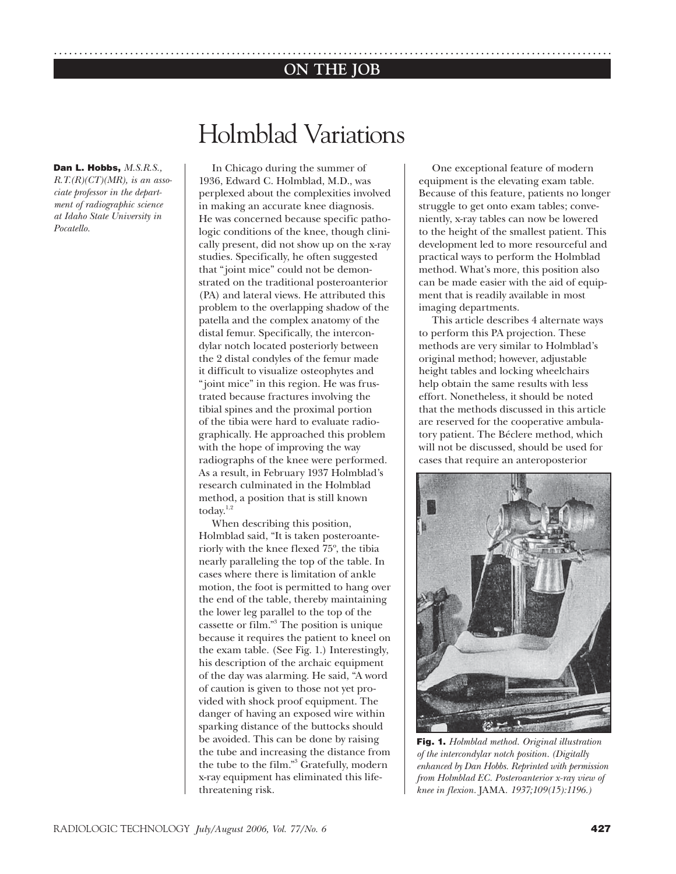### .............................................................................................................. **ON THE JOB**

# Holmblad Variations

**Dan L. Hobbs,** *M.S.R.S., R.T.(R)(CT)(MR), is an asso-*

*ciate professor in the department of radiographic science at Idaho State University in Pocatello.*

In Chicago during the summer of 1936, Edward C. Holmblad, M.D., was perplexed about the complexities involved in making an accurate knee diagnosis. He was concerned because specific pathologic conditions of the knee, though clinically present, did not show up on the x-ray studies. Specifically, he often suggested that "joint mice" could not be demonstrated on the traditional posteroanterior (PA) and lateral views. He attributed this problem to the overlapping shadow of the patella and the complex anatomy of the distal femur. Specifically, the intercondylar notch located posteriorly between the 2 distal condyles of the femur made it difficult to visualize osteophytes and "joint mice" in this region. He was frustrated because fractures involving the tibial spines and the proximal portion of the tibia were hard to evaluate radiographically. He approached this problem with the hope of improving the way radiographs of the knee were performed. As a result, in February 1937 Holmblad's research culminated in the Holmblad method, a position that is still known today. $1,2$ 

When describing this position, Holmblad said, "It is taken posteroanteriorly with the knee flexed 75º, the tibia nearly paralleling the top of the table. In cases where there is limitation of ankle motion, the foot is permitted to hang over the end of the table, thereby maintaining the lower leg parallel to the top of the cassette or film."3 The position is unique because it requires the patient to kneel on the exam table. (See Fig. 1.) Interestingly, his description of the archaic equipment of the day was alarming. He said, "A word of caution is given to those not yet provided with shock proof equipment. The danger of having an exposed wire within sparking distance of the buttocks should be avoided. This can be done by raising the tube and increasing the distance from the tube to the film."3 Gratefully, modern x-ray equipment has eliminated this lifethreatening risk.

One exceptional feature of modern equipment is the elevating exam table. Because of this feature, patients no longer struggle to get onto exam tables; conveniently, x-ray tables can now be lowered to the height of the smallest patient. This development led to more resourceful and practical ways to perform the Holmblad method. What's more, this position also can be made easier with the aid of equipment that is readily available in most imaging departments.

This article describes 4 alternate ways to perform this PA projection. These methods are very similar to Holmblad's original method; however, adjustable height tables and locking wheelchairs help obtain the same results with less effort. Nonetheless, it should be noted that the methods discussed in this article are reserved for the cooperative ambulatory patient. The Béclere method, which will not be discussed, should be used for cases that require an anteroposterior



**Fig. 1.** *Holmblad method. Original illustration of the intercondylar notch position. (Digitally enhanced by Dan Hobbs. Reprinted with permission from Holmblad EC. Posteroanterior x-ray view of knee in flexion.* JAMA*. 1937;109(15):1196.)*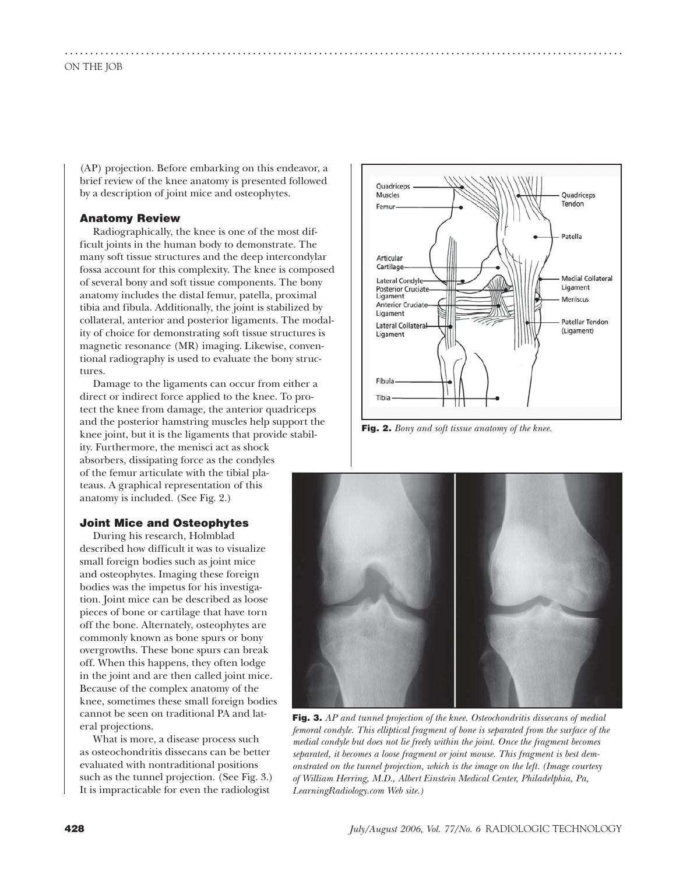(AP) projection. Before embarking on this endeavor, a brief review of the knee anatomy is presented followed by a description of joint mice and osteophytes.

..............................................................................................................

#### **Anatomy Review**

Radiographically, the knee is one of the most difficult joints in the human body to demonstrate. The many soft tissue structures and the deep intercondylar fossa account for this complexity. The knee is composed of several bony and soft tissue components. The bony anatomy includes the distal femur, patella, proximal tibia and fibula. Additionally, the joint is stabilized by collateral, anterior and posterior ligaments. The modality of choice for demonstrating soft tissue structures is magnetic resonance (MR) imaging. Likewise, conventional radiography is used to evaluate the bony structures.

Damage to the ligaments can occur from either a direct or indirect force applied to the knee. To protect the knee from damage, the anterior quadriceps and the posterior hamstring muscles help support the knee joint, but it is the ligaments that provide stability. Furthermore, the menisci act as shock absorbers, dissipating force as the condyles of the femur articulate with the tibial plateaus. A graphical representation of this anatomy is included. (See Fig. 2.)

#### **Joint Mice and Osteophytes**

During his research, Holmblad described how difficult it was to visualize small foreign bodies such as joint mice and osteophytes. Imaging these foreign bodies was the impetus for his investigation. Joint mice can be described as loose pieces of bone or cartilage that have torn off the bone. Alternately, osteophytes are commonly known as bone spurs or bony overgrowths. These bone spurs can break off. When this happens, they often lodge in the joint and are then called joint mice. Because of the complex anatomy of the knee, sometimes these small foreign bodies cannot be seen on traditional PA and lateral projections.

What is more, a disease process such as osteochondritis dissecans can be better evaluated with nontraditional positions such as the tunnel projection. (See Fig. 3.) It is impracticable for even the radiologist



**Fig. 2.** *Bony and soft tissue anatomy of the knee.* 



**Fig. 3.** *AP and tunnel projection of the knee. Osteochondritis dissecans of medial femoral condyle. This elliptical fragment of bone is separated from the surface of the medial condyle but does not lie freely within the joint. Once the fragment becomes separated, it becomes a loose fragment or joint mouse. This fragment is best demonstrated on the tunnel projection, which is the image on the left. (Image courtesy of William Herring, M.D., Albert Einstein Medical Center, Philadelphia, Pa, LearningRadiology.com Web site.)*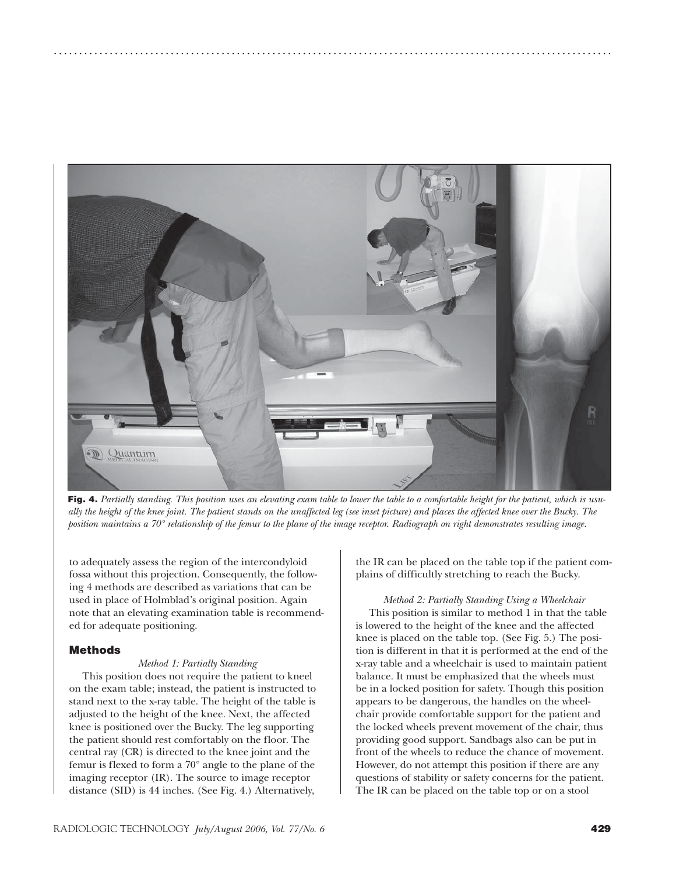

..............................................................................................................

**Fig. 4.** *Partially standing. This position uses an elevating exam table to lower the table to a comfortable height for the patient, which is usually the height of the knee joint. The patient stands on the unaffected leg (see inset picture) and places the affected knee over the Bucky. The position maintains a 70° relationship of the femur to the plane of the image receptor. Radiograph on right demonstrates resulting image.*

to adequately assess the region of the intercondyloid fossa without this projection. Consequently, the following 4 methods are described as variations that can be used in place of Holmblad's original position. Again note that an elevating examination table is recommended for adequate positioning.

#### **Methods**

#### *Method 1: Partially Standing*

This position does not require the patient to kneel on the exam table; instead, the patient is instructed to stand next to the x-ray table. The height of the table is adjusted to the height of the knee. Next, the affected knee is positioned over the Bucky. The leg supporting the patient should rest comfortably on the floor. The central ray (CR) is directed to the knee joint and the femur is flexed to form a 70° angle to the plane of the imaging receptor (IR). The source to image receptor distance (SID) is 44 inches. (See Fig. 4.) Alternatively,

the IR can be placed on the table top if the patient complains of difficultly stretching to reach the Bucky.

*Method 2: Partially Standing Using a Wheelchair* This position is similar to method 1 in that the table is lowered to the height of the knee and the affected knee is placed on the table top. (See Fig. 5.) The position is different in that it is performed at the end of the x-ray table and a wheelchair is used to maintain patient balance. It must be emphasized that the wheels must be in a locked position for safety. Though this position appears to be dangerous, the handles on the wheelchair provide comfortable support for the patient and the locked wheels prevent movement of the chair, thus providing good support. Sandbags also can be put in front of the wheels to reduce the chance of movement. However, do not attempt this position if there are any questions of stability or safety concerns for the patient. The IR can be placed on the table top or on a stool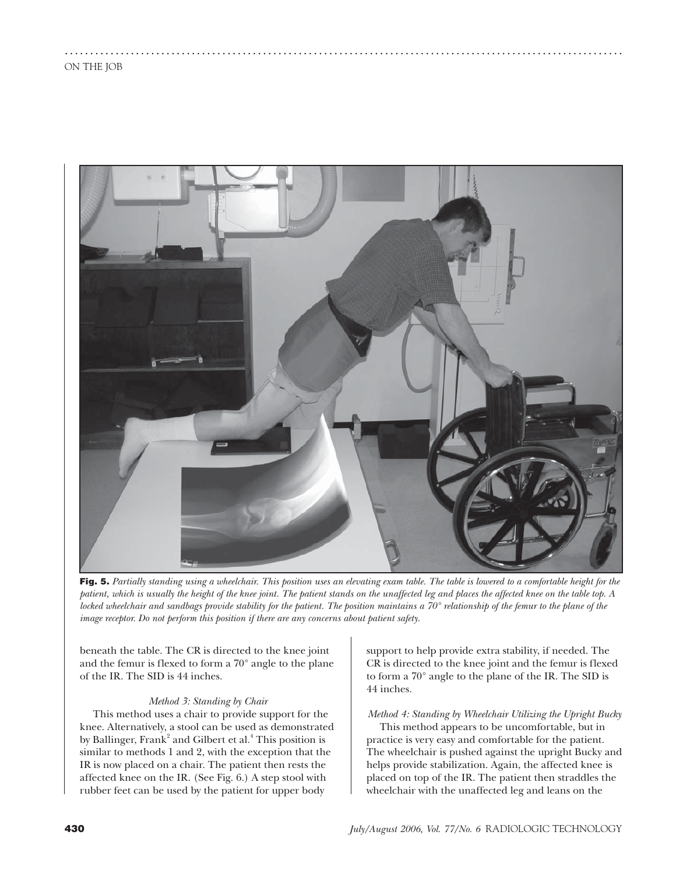

..............................................................................................................

**Fig. 5.** *Partially standing using a wheelchair. This position uses an elevating exam table. The table is lowered to a comfortable height for the patient, which is usually the height of the knee joint. The patient stands on the unaffected leg and places the affected knee on the table top. A locked wheelchair and sandbags provide stability for the patient. The position maintains a 70° relationship of the femur to the plane of the image receptor. Do not perform this position if there are any concerns about patient safety.*

beneath the table. The CR is directed to the knee joint and the femur is flexed to form a 70° angle to the plane of the IR. The SID is 44 inches.

#### *Method 3: Standing by Chair*

This method uses a chair to provide support for the knee. Alternatively, a stool can be used as demonstrated by Ballinger, Frank<sup>2</sup> and Gilbert et al.<sup>4</sup> This position is similar to methods 1 and 2, with the exception that the IR is now placed on a chair. The patient then rests the affected knee on the IR. (See Fig. 6.) A step stool with rubber feet can be used by the patient for upper body

support to help provide extra stability, if needed. The CR is directed to the knee joint and the femur is flexed to form a 70° angle to the plane of the IR. The SID is 44 inches.

## *Method 4: Standing by Wheelchair Utilizing the Upright Bucky*

This method appears to be uncomfortable, but in practice is very easy and comfortable for the patient. The wheelchair is pushed against the upright Bucky and helps provide stabilization. Again, the affected knee is placed on top of the IR. The patient then straddles the wheelchair with the unaffected leg and leans on the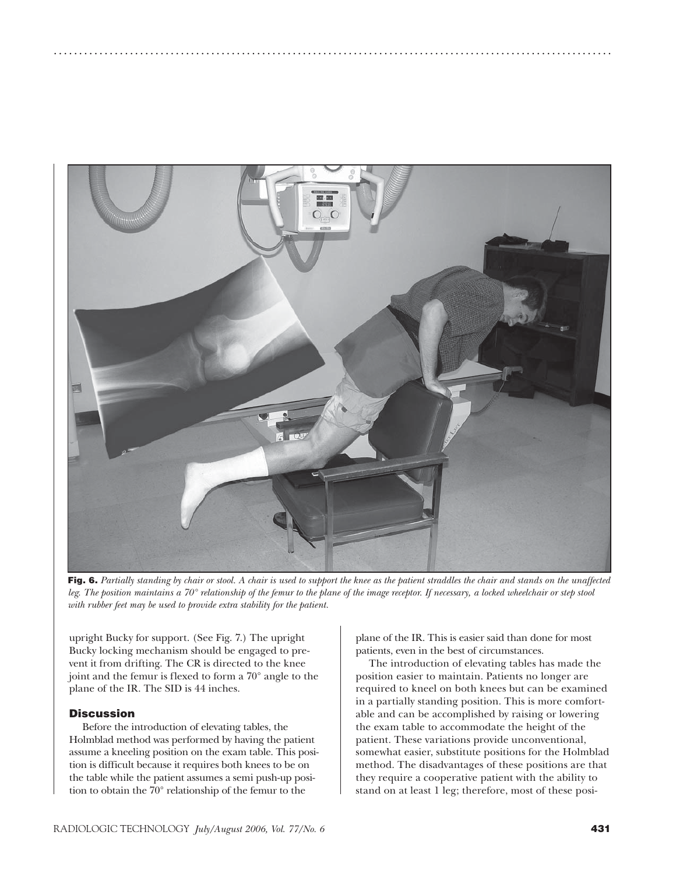

..............................................................................................................

**Fig. 6.** *Partially standing by chair or stool. A chair is used to support the knee as the patient straddles the chair and stands on the unaffected leg. The position maintains a 70° relationship of the femur to the plane of the image receptor. If necessary, a locked wheelchair or step stool with rubber feet may be used to provide extra stability for the patient.*

upright Bucky for support. (See Fig. 7.) The upright Bucky locking mechanism should be engaged to prevent it from drifting. The CR is directed to the knee joint and the femur is flexed to form a 70° angle to the plane of the IR. The SID is 44 inches.

#### **Discussion**

Before the introduction of elevating tables, the Holmblad method was performed by having the patient assume a kneeling position on the exam table. This position is difficult because it requires both knees to be on the table while the patient assumes a semi push-up position to obtain the 70° relationship of the femur to the

plane of the IR. This is easier said than done for most patients, even in the best of circumstances.

The introduction of elevating tables has made the position easier to maintain. Patients no longer are required to kneel on both knees but can be examined in a partially standing position. This is more comfortable and can be accomplished by raising or lowering the exam table to accommodate the height of the patient. These variations provide unconventional, somewhat easier, substitute positions for the Holmblad method. The disadvantages of these positions are that they require a cooperative patient with the ability to stand on at least 1 leg; therefore, most of these posi